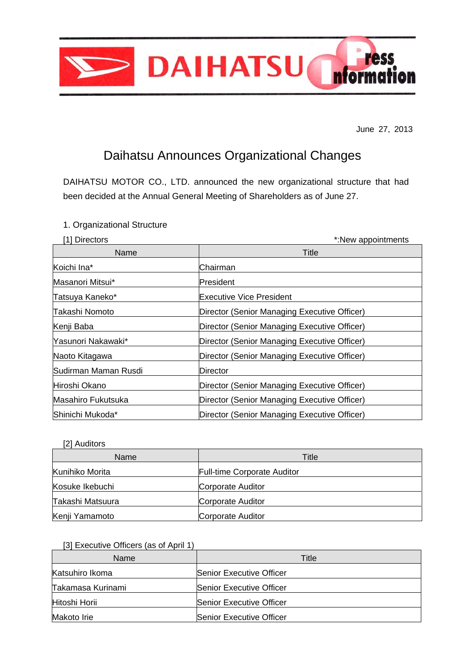DAIHATSU result ress 'ion

June 27, 2013

\*:New appointments

# Daihatsu Announces Organizational Changes

DAIHATSU MOTOR CO., LTD. announced the new organizational structure that had been decided at the Annual General Meeting of Shareholders as of June 27.

## 1. Organizational Structure

| [1] Directors |
|---------------|

| Name                 | Title                                        |
|----------------------|----------------------------------------------|
| Koichi Ina*          | Chairman                                     |
| Masanori Mitsui*     | President                                    |
| Tatsuya Kaneko*      | <b>Executive Vice President</b>              |
| Takashi Nomoto       | Director (Senior Managing Executive Officer) |
| Kenji Baba           | Director (Senior Managing Executive Officer) |
| Yasunori Nakawaki*   | Director (Senior Managing Executive Officer) |
| Naoto Kitagawa       | Director (Senior Managing Executive Officer) |
| Sudirman Maman Rusdi | Director                                     |
| Hiroshi Okano        | Director (Senior Managing Executive Officer) |
| Masahiro Fukutsuka   | Director (Senior Managing Executive Officer) |
| Shinichi Mukoda*     | Director (Senior Managing Executive Officer) |

#### [2] Auditors

| Name             | Title                              |
|------------------|------------------------------------|
| Kunihiko Morita  | <b>Full-time Corporate Auditor</b> |
| Kosuke Ikebuchi  | Corporate Auditor                  |
| Takashi Matsuura | Corporate Auditor                  |
| Kenji Yamamoto   | Corporate Auditor                  |

### [3] Executive Officers (as of April 1)

| <b>Name</b>       | Title                    |
|-------------------|--------------------------|
| Katsuhiro Ikoma   | Senior Executive Officer |
| Takamasa Kurinami | Senior Executive Officer |
| Hitoshi Horii     | Senior Executive Officer |
| Makoto Irie       | Senior Executive Officer |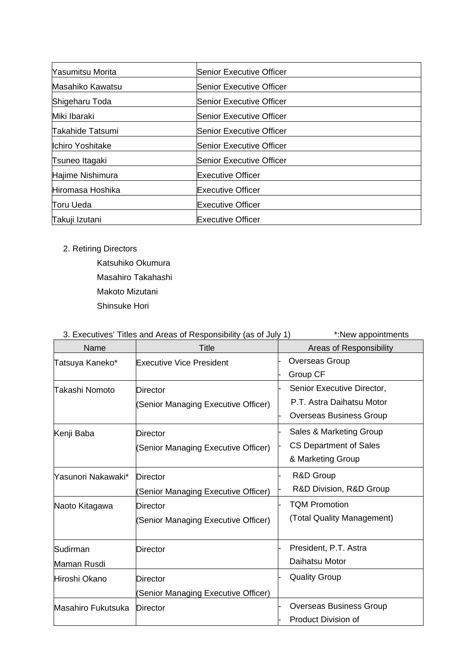| Yasumitsu Morita | Senior Executive Officer |
|------------------|--------------------------|
| Masahiko Kawatsu | Senior Executive Officer |
| Shigeharu Toda   | Senior Executive Officer |
| Miki Ibaraki     | Senior Executive Officer |
| Takahide Tatsumi | Senior Executive Officer |
| Ichiro Yoshitake | Senior Executive Officer |
| Tsuneo Itagaki   | Senior Executive Officer |
| Hajime Nishimura | <b>Executive Officer</b> |
| Hiromasa Hoshika | <b>Executive Officer</b> |
| Toru Ueda        | <b>Executive Officer</b> |
| Takuji Izutani   | <b>Executive Officer</b> |

# 2. Retiring Directors

 Katsuhiko Okumura Masahiro Takahashi Makoto Mizutani Shinsuke Hori

|                    | 3. Executives' Titles and Areas of Responsibility (as of July 1) | *:New appointments             |
|--------------------|------------------------------------------------------------------|--------------------------------|
| Name               | Title                                                            | Areas of Responsibility        |
| Tatsuya Kaneko*    | Executive Vice President                                         | <b>Overseas Group</b>          |
|                    |                                                                  | Group CF                       |
| Takashi Nomoto     | Director                                                         | Senior Executive Director,     |
|                    | (Senior Managing Executive Officer)                              | P.T. Astra Daihatsu Motor      |
|                    |                                                                  | <b>Overseas Business Group</b> |
| Kenji Baba         | <b>Director</b>                                                  | Sales & Marketing Group        |
|                    | (Senior Managing Executive Officer)                              | <b>CS Department of Sales</b>  |
|                    |                                                                  | & Marketing Group              |
| Yasunori Nakawaki* | <b>Director</b>                                                  | R&D Group                      |
|                    | (Senior Managing Executive Officer)                              | R&D Division, R&D Group        |
| Naoto Kitagawa     | <b>Director</b>                                                  | <b>TQM Promotion</b>           |
|                    | (Senior Managing Executive Officer)                              | (Total Quality Management)     |
|                    |                                                                  |                                |
| Sudirman           | <b>Director</b>                                                  | President, P.T. Astra          |
| Maman Rusdi        |                                                                  | Daihatsu Motor                 |
| Hiroshi Okano      | Director                                                         | <b>Quality Group</b>           |
|                    | (Senior Managing Executive Officer)                              |                                |
| Masahiro Fukutsuka | Director                                                         | <b>Overseas Business Group</b> |
|                    |                                                                  | Product Division of            |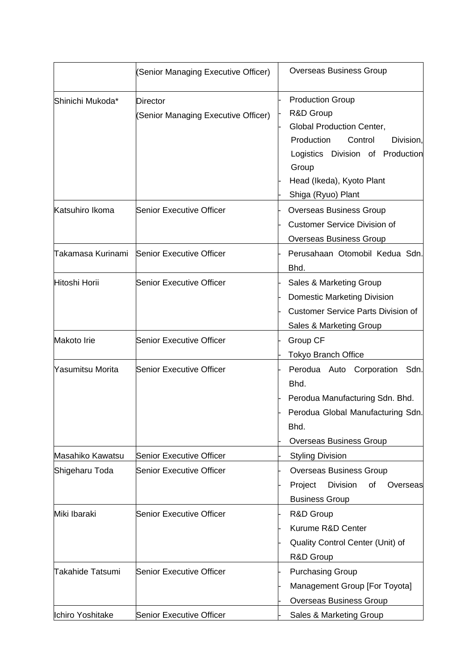|                   | Senior Managing Executive Officer)             | <b>Overseas Business Group</b>                                                                                                                                                                             |
|-------------------|------------------------------------------------|------------------------------------------------------------------------------------------------------------------------------------------------------------------------------------------------------------|
| Shinichi Mukoda*  | Director<br>Senior Managing Executive Officer) | <b>Production Group</b><br>R&D Group<br>Global Production Center,<br>Production<br>Control<br>Division,<br>Logistics Division of<br>Production<br>Group<br>Head (Ikeda), Kyoto Plant<br>Shiga (Ryuo) Plant |
| Katsuhiro Ikoma   | <b>Senior Executive Officer</b>                | <b>Overseas Business Group</b><br><b>Customer Service Division of</b><br>Overseas Business Group                                                                                                           |
| Takamasa Kurinami | Senior Executive Officer                       | Perusahaan Otomobil Kedua Sdn.<br>Bhd.                                                                                                                                                                     |
| Hitoshi Horii     | <b>Senior Executive Officer</b>                | Sales & Marketing Group<br><b>Domestic Marketing Division</b><br><b>Customer Service Parts Division of</b><br>Sales & Marketing Group                                                                      |
| Makoto Irie       | <b>Senior Executive Officer</b>                | Group CF<br><b>Tokyo Branch Office</b>                                                                                                                                                                     |
| Yasumitsu Morita  | <b>Senior Executive Officer</b>                | Perodua Auto Corporation<br>Sdn.<br>Bhd.<br>Perodua Manufacturing Sdn. Bhd.<br>Perodua Global Manufacturing Sdn.<br>Bhd.<br><b>Overseas Business Group</b>                                                 |
| Masahiko Kawatsu  | Senior Executive Officer                       | <b>Styling Division</b>                                                                                                                                                                                    |
| Shigeharu Toda    | <b>Senior Executive Officer</b>                | <b>Overseas Business Group</b><br><b>Division</b><br>Project<br>of<br>Overseas<br><b>Business Group</b>                                                                                                    |
| Miki Ibaraki      | <b>Senior Executive Officer</b>                | R&D Group<br>Kurume R&D Center<br>Quality Control Center (Unit) of<br>R&D Group                                                                                                                            |
| Takahide Tatsumi  | Senior Executive Officer                       | <b>Purchasing Group</b><br>Management Group [For Toyota]<br><b>Overseas Business Group</b>                                                                                                                 |
| Ichiro Yoshitake  | <b>Senior Executive Officer</b>                | Sales & Marketing Group                                                                                                                                                                                    |